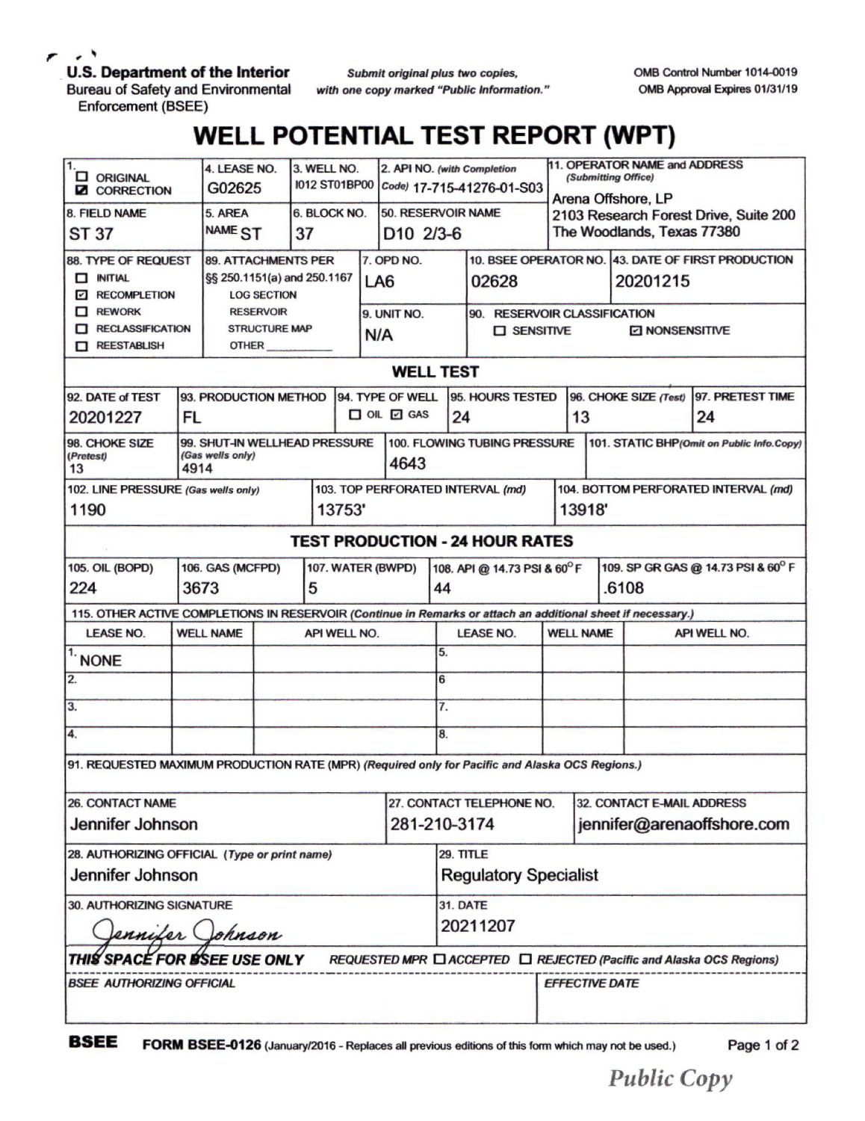$\cdot$ 

**U.S. Department of the Interior**

*Submit originalplus two copies,*

OMB Control Number 1014-0019 OMB Approval Expires 01/31/19

Bureau of Safety and Environmental Enforcement (BSEE)

*with one copy marked "Public Information. '*

## **WELL POTENTIAL TEST REPORT (WPT)**

| 1.<br><b>D</b> ORIGINAL<br><b>Z CORRECTION</b>                                                                                               |                                                           | 4. LEASE NO.<br>G02625                                                                                                               |              | 3. WELL NO.<br><b>1012 ST01BP00</b> |                        | 2. API NO. (with Completion<br>Code) 17-715-41276-01-S03 |                                             |                              | 11. OPERATOR NAME and ADDRESS<br>(Submitting Office)        |                                                                                           |                                           |                                             |                                                                                         |                                                                      |  |
|----------------------------------------------------------------------------------------------------------------------------------------------|-----------------------------------------------------------|--------------------------------------------------------------------------------------------------------------------------------------|--------------|-------------------------------------|------------------------|----------------------------------------------------------|---------------------------------------------|------------------------------|-------------------------------------------------------------|-------------------------------------------------------------------------------------------|-------------------------------------------|---------------------------------------------|-----------------------------------------------------------------------------------------|----------------------------------------------------------------------|--|
| 8. FIELD NAME<br>ST 37                                                                                                                       |                                                           | 5. AREA<br>NAME <sub>ST</sub>                                                                                                        |              | 6. BLOCK NO.<br>37                  |                        |                                                          | 50. RESERVOIR NAME<br>D <sub>10</sub> 2/3-6 |                              |                                                             | Arena Offshore, LP<br>2103 Research Forest Drive, Suite 200<br>The Woodlands, Texas 77380 |                                           |                                             |                                                                                         |                                                                      |  |
| <b>88. TYPE OF REQUEST</b><br>$\Box$ INITIAL<br><b>E RECOMPLETION</b><br>$\Box$ REWORK<br><b>RECLASSIFICATION</b><br>П<br><b>NEESTABLISH</b> |                                                           | <b>89. ATTACHMENTS PER</b><br>§§ 250.1151(a) and 250.1167<br><b>LOG SECTION</b><br><b>RESERVOIR</b><br><b>STRUCTURE MAP</b><br>OTHER |              |                                     | LA <sub>6</sub><br>N/A |                                                          | 7. OPD NO.<br>9. UNIT NO.                   |                              | 02628<br>90. RESERVOIR CLASSIFICATION<br><b>D</b> SENSITIVE |                                                                                           |                                           |                                             | 10. BSEE OPERATOR NO. 43. DATE OF FIRST PRODUCTION<br>20201215<br><b>Z NONSENSITIVE</b> |                                                                      |  |
| <b>WELL TEST</b>                                                                                                                             |                                                           |                                                                                                                                      |              |                                     |                        |                                                          |                                             |                              |                                                             |                                                                                           |                                           |                                             |                                                                                         |                                                                      |  |
| 92. DATE of TEST<br>20201227                                                                                                                 | FL                                                        | 93. PRODUCTION METHOD                                                                                                                |              |                                     |                        | 94. TYPE OF WELL<br>$\Box$ OIL $\Box$ GAS                |                                             | 95. HOURS TESTED<br>24       |                                                             | 13                                                                                        |                                           | 96. CHOKE SIZE (Test)                       | 97. PRETEST TIME<br>24                                                                  |                                                                      |  |
| 98. CHOKE SIZE<br>(Pretest)<br>13                                                                                                            | 99. SHUT-IN WELLHEAD PRESSURE<br>(Gas wells only)<br>4914 |                                                                                                                                      |              |                                     |                        |                                                          | 4643                                        | 100. FLOWING TUBING PRESSURE |                                                             |                                                                                           | 101. STATIC BHP(Omit on Public Info.Copy) |                                             |                                                                                         |                                                                      |  |
| 102. LINE PRESSURE (Gas wells only)<br>1190<br>13753'                                                                                        |                                                           |                                                                                                                                      |              |                                     |                        | 103. TOP PERFORATED INTERVAL (md)                        |                                             |                              |                                                             | 104. BOTTOM PERFORATED INTERVAL (md)<br>13918'                                            |                                           |                                             |                                                                                         |                                                                      |  |
|                                                                                                                                              |                                                           |                                                                                                                                      |              |                                     |                        |                                                          |                                             |                              | <b>TEST PRODUCTION - 24 HOUR RATES</b>                      |                                                                                           |                                           |                                             |                                                                                         |                                                                      |  |
| <b>105. OIL (BOPD)</b><br>224                                                                                                                | 106. GAS (MCFPD)<br>3673<br>5                             |                                                                                                                                      |              |                                     | 107. WATER (BWPD)      |                                                          |                                             | 44                           | 108. API @ 14.73 PSI & 60°F                                 |                                                                                           |                                           | 109. SP GR GAS @ 14.73 PSI & 60° F<br>.6108 |                                                                                         |                                                                      |  |
| 115. OTHER ACTIVE COMPLETIONS IN RESERVOIR (Continue in Remarks or attach an additional sheet if necessary.)                                 |                                                           |                                                                                                                                      |              |                                     |                        |                                                          |                                             |                              |                                                             |                                                                                           |                                           |                                             |                                                                                         |                                                                      |  |
| <b>LEASE NO.</b>                                                                                                                             |                                                           | <b>WELL NAME</b>                                                                                                                     | API WELL NO. |                                     |                        |                                                          |                                             | <b>LEASE NO.</b>             |                                                             | <b>WELL NAME</b>                                                                          |                                           | API WELL NO.                                |                                                                                         |                                                                      |  |
| <b>NONE</b>                                                                                                                                  |                                                           |                                                                                                                                      |              |                                     |                        |                                                          |                                             | 5.                           |                                                             |                                                                                           |                                           |                                             |                                                                                         |                                                                      |  |
| 2.                                                                                                                                           |                                                           |                                                                                                                                      |              |                                     |                        |                                                          |                                             | 6                            |                                                             |                                                                                           |                                           |                                             |                                                                                         |                                                                      |  |
| 3.                                                                                                                                           |                                                           |                                                                                                                                      |              |                                     |                        |                                                          |                                             |                              | 7.                                                          |                                                                                           |                                           |                                             |                                                                                         |                                                                      |  |
| 4.                                                                                                                                           |                                                           |                                                                                                                                      |              |                                     |                        |                                                          |                                             | 8.                           |                                                             |                                                                                           |                                           |                                             |                                                                                         |                                                                      |  |
| 91. REQUESTED MAXIMUM PRODUCTION RATE (MPR) (Required only for Pacific and Alaska OCS Regions.)                                              |                                                           |                                                                                                                                      |              |                                     |                        |                                                          |                                             |                              |                                                             |                                                                                           |                                           |                                             |                                                                                         |                                                                      |  |
| <b>26. CONTACT NAME</b>                                                                                                                      |                                                           |                                                                                                                                      |              |                                     |                        |                                                          | 27. CONTACT TELEPHONE NO.                   |                              |                                                             | 32. CONTACT E-MAIL ADDRESS                                                                |                                           |                                             |                                                                                         |                                                                      |  |
| Jennifer Johnson                                                                                                                             |                                                           |                                                                                                                                      |              |                                     |                        | 281-210-3174                                             |                                             |                              |                                                             | jennifer@arenaoffshore.com                                                                |                                           |                                             |                                                                                         |                                                                      |  |
| 28. AUTHORIZING OFFICIAL (Type or print name)                                                                                                |                                                           |                                                                                                                                      |              |                                     |                        |                                                          |                                             |                              | 29. TITLE                                                   |                                                                                           |                                           |                                             |                                                                                         |                                                                      |  |
| Jennifer Johnson                                                                                                                             |                                                           |                                                                                                                                      |              |                                     |                        |                                                          |                                             | <b>Regulatory Specialist</b> |                                                             |                                                                                           |                                           |                                             |                                                                                         |                                                                      |  |
| 30. AUTHORIZING SIGNATURE                                                                                                                    |                                                           |                                                                                                                                      |              |                                     |                        |                                                          |                                             | <b>31. DATE</b>              |                                                             |                                                                                           |                                           |                                             |                                                                                         |                                                                      |  |
| ennifer Johnson                                                                                                                              |                                                           |                                                                                                                                      |              |                                     |                        |                                                          |                                             | 20211207                     |                                                             |                                                                                           |                                           |                                             |                                                                                         |                                                                      |  |
| THIS SPACE FOR ISSEE USE ONLY                                                                                                                |                                                           |                                                                                                                                      |              |                                     |                        |                                                          |                                             |                              |                                                             |                                                                                           |                                           |                                             |                                                                                         | REQUESTED MPR □ ACCEPTED □ REJECTED (Pacific and Alaska OCS Regions) |  |
| <b>BSEE AUTHORIZING OFFICIAL</b>                                                                                                             |                                                           |                                                                                                                                      |              |                                     |                        |                                                          |                                             |                              |                                                             | <b>EFFECTIVE DATE</b>                                                                     |                                           |                                             |                                                                                         |                                                                      |  |

**BSEE FORM BSEE-0126** (January/2016 - Replaces all previous editions of this form which may not be used.) Page <sup>1</sup> Of 2